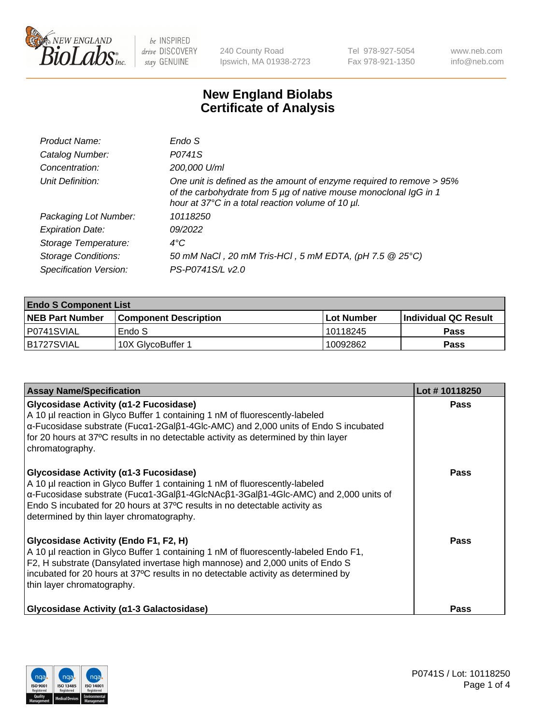

240 County Road Ipswich, MA 01938-2723 Tel 978-927-5054 Fax 978-921-1350 www.neb.com info@neb.com

## **New England Biolabs Certificate of Analysis**

| Endo S                                                                                                                                                                                         |
|------------------------------------------------------------------------------------------------------------------------------------------------------------------------------------------------|
| P0741S                                                                                                                                                                                         |
| 200,000 U/ml                                                                                                                                                                                   |
| One unit is defined as the amount of enzyme required to remove > 95%<br>of the carbohydrate from 5 µg of native mouse monoclonal IgG in 1<br>hour at 37°C in a total reaction volume of 10 µl. |
| 10118250                                                                                                                                                                                       |
| 09/2022                                                                                                                                                                                        |
| $4^{\circ}$ C                                                                                                                                                                                  |
| 50 mM NaCl, 20 mM Tris-HCl, 5 mM EDTA, (pH 7.5 @ 25°C)                                                                                                                                         |
| PS-P0741S/L v2.0                                                                                                                                                                               |
|                                                                                                                                                                                                |

| <b>Endo S Component List</b> |                         |            |                             |  |  |
|------------------------------|-------------------------|------------|-----------------------------|--|--|
| <b>NEB Part Number</b>       | l Component Description | Lot Number | <b>Individual QC Result</b> |  |  |
| P0741SVIAL                   | Endo S                  | 10118245   | Pass                        |  |  |
| B1727SVIAL                   | 10X GlycoBuffer 1       | 10092862   | Pass                        |  |  |

| <b>Assay Name/Specification</b>                                                                                                                                                                                                                                                                                                                                                | Lot #10118250 |
|--------------------------------------------------------------------------------------------------------------------------------------------------------------------------------------------------------------------------------------------------------------------------------------------------------------------------------------------------------------------------------|---------------|
| Glycosidase Activity (α1-2 Fucosidase)<br>A 10 µl reaction in Glyco Buffer 1 containing 1 nM of fluorescently-labeled<br>$\alpha$ -Fucosidase substrate (Fuc $\alpha$ 1-2Gal $\beta$ 1-4Glc-AMC) and 2,000 units of Endo S incubated<br>for 20 hours at 37°C results in no detectable activity as determined by thin layer<br>chromatography.                                  | <b>Pass</b>   |
| Glycosidase Activity (α1-3 Fucosidase)<br>A 10 µl reaction in Glyco Buffer 1 containing 1 nM of fluorescently-labeled<br>$\alpha$ -Fucosidase substrate (Fuc $\alpha$ 1-3Gal $\beta$ 1-4GlcNAc $\beta$ 1-3Gal $\beta$ 1-4Glc-AMC) and 2,000 units of<br>Endo S incubated for 20 hours at 37°C results in no detectable activity as<br>determined by thin layer chromatography. | <b>Pass</b>   |
| Glycosidase Activity (Endo F1, F2, H)<br>A 10 µl reaction in Glyco Buffer 1 containing 1 nM of fluorescently-labeled Endo F1,<br>F2, H substrate (Dansylated invertase high mannose) and 2,000 units of Endo S<br>incubated for 20 hours at 37°C results in no detectable activity as determined by<br>thin layer chromatography.                                              | Pass          |
| Glycosidase Activity (α1-3 Galactosidase)                                                                                                                                                                                                                                                                                                                                      | Pass          |

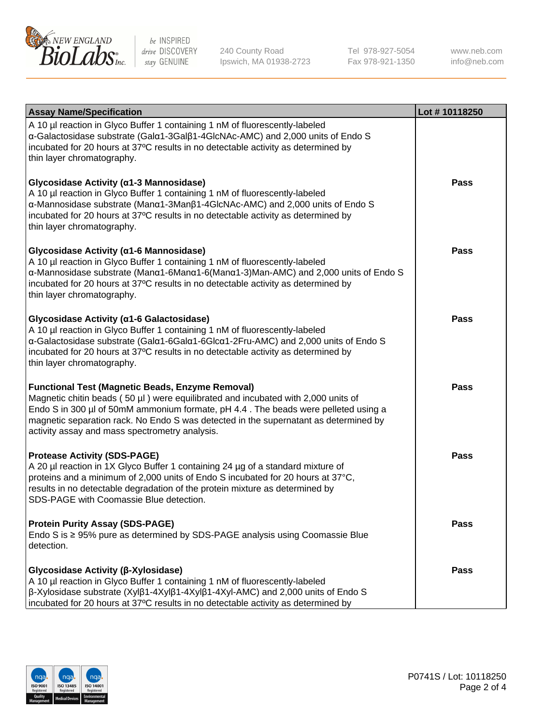

240 County Road Ipswich, MA 01938-2723 Tel 978-927-5054 Fax 978-921-1350 www.neb.com info@neb.com

| <b>Assay Name/Specification</b>                                                                                                                                                                                                                                                                                                                                              | Lot #10118250 |
|------------------------------------------------------------------------------------------------------------------------------------------------------------------------------------------------------------------------------------------------------------------------------------------------------------------------------------------------------------------------------|---------------|
| A 10 µl reaction in Glyco Buffer 1 containing 1 nM of fluorescently-labeled<br>α-Galactosidase substrate (Galα1-3Galβ1-4GlcNAc-AMC) and 2,000 units of Endo S<br>incubated for 20 hours at 37°C results in no detectable activity as determined by<br>thin layer chromatography.                                                                                             |               |
| Glycosidase Activity (α1-3 Mannosidase)<br>A 10 µl reaction in Glyco Buffer 1 containing 1 nM of fluorescently-labeled<br>α-Mannosidase substrate (Manα1-3Manβ1-4GlcNAc-AMC) and 2,000 units of Endo S<br>incubated for 20 hours at 37°C results in no detectable activity as determined by<br>thin layer chromatography.                                                    | Pass          |
| Glycosidase Activity (α1-6 Mannosidase)<br>A 10 µl reaction in Glyco Buffer 1 containing 1 nM of fluorescently-labeled<br>α-Mannosidase substrate (Μanα1-6Μanα1-6(Μanα1-3)Man-AMC) and 2,000 units of Endo S<br>incubated for 20 hours at 37°C results in no detectable activity as determined by<br>thin layer chromatography.                                              | <b>Pass</b>   |
| Glycosidase Activity (α1-6 Galactosidase)<br>A 10 µl reaction in Glyco Buffer 1 containing 1 nM of fluorescently-labeled<br>α-Galactosidase substrate (Galα1-6Galα1-6Glcα1-2Fru-AMC) and 2,000 units of Endo S<br>incubated for 20 hours at 37°C results in no detectable activity as determined by<br>thin layer chromatography.                                            | <b>Pass</b>   |
| <b>Functional Test (Magnetic Beads, Enzyme Removal)</b><br>Magnetic chitin beads (50 µl) were equilibrated and incubated with 2,000 units of<br>Endo S in 300 µl of 50mM ammonium formate, pH 4.4. The beads were pelleted using a<br>magnetic separation rack. No Endo S was detected in the supernatant as determined by<br>activity assay and mass spectrometry analysis. | Pass          |
| <b>Protease Activity (SDS-PAGE)</b><br>A 20 µl reaction in 1X Glyco Buffer 1 containing 24 µg of a standard mixture of<br>proteins and a minimum of 2,000 units of Endo S incubated for 20 hours at 37°C,<br>results in no detectable degradation of the protein mixture as determined by<br>SDS-PAGE with Coomassie Blue detection.                                         | Pass          |
| <b>Protein Purity Assay (SDS-PAGE)</b><br>Endo S is ≥ 95% pure as determined by SDS-PAGE analysis using Coomassie Blue<br>detection.                                                                                                                                                                                                                                         | <b>Pass</b>   |
| Glycosidase Activity (β-Xylosidase)<br>A 10 µl reaction in Glyco Buffer 1 containing 1 nM of fluorescently-labeled<br>$\beta$ -Xylosidase substrate (Xyl $\beta$ 1-4Xyl $\beta$ 1-4Xyl $\beta$ 1-4Xyl-AMC) and 2,000 units of Endo S<br>incubated for 20 hours at 37°C results in no detectable activity as determined by                                                    | <b>Pass</b>   |

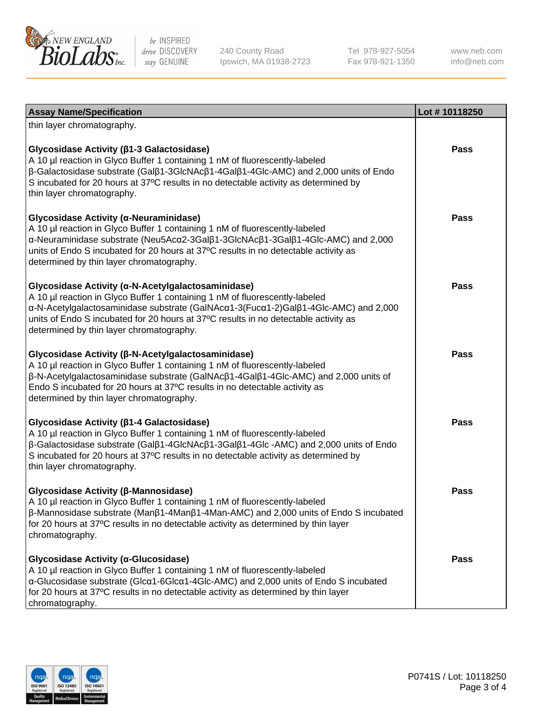

240 County Road Ipswich, MA 01938-2723 Tel 978-927-5054 Fax 978-921-1350

www.neb.com info@neb.com

| <b>Assay Name/Specification</b>                                                                                                                                                                                                                                                                                                                             | Lot #10118250 |
|-------------------------------------------------------------------------------------------------------------------------------------------------------------------------------------------------------------------------------------------------------------------------------------------------------------------------------------------------------------|---------------|
| thin layer chromatography.                                                                                                                                                                                                                                                                                                                                  |               |
| Glycosidase Activity (β1-3 Galactosidase)<br>A 10 µl reaction in Glyco Buffer 1 containing 1 nM of fluorescently-labeled<br>β-Galactosidase substrate (Galβ1-3GlcNAcβ1-4Galβ1-4Glc-AMC) and 2,000 units of Endo<br>S incubated for 20 hours at 37°C results in no detectable activity as determined by<br>thin layer chromatography.                        | <b>Pass</b>   |
| Glycosidase Activity (α-Neuraminidase)<br>A 10 µl reaction in Glyco Buffer 1 containing 1 nM of fluorescently-labeled<br>α-Neuraminidase substrate (Neu5Acα2-3Galβ1-3GlcNAcβ1-3Galβ1-4Glc-AMC) and 2,000<br>units of Endo S incubated for 20 hours at 37°C results in no detectable activity as<br>determined by thin layer chromatography.                 | <b>Pass</b>   |
| Glycosidase Activity (α-N-Acetylgalactosaminidase)<br>A 10 µl reaction in Glyco Buffer 1 containing 1 nM of fluorescently-labeled<br>α-N-Acetylgalactosaminidase substrate (GalNAcα1-3(Fucα1-2)Galβ1-4Glc-AMC) and 2,000<br>units of Endo S incubated for 20 hours at 37°C results in no detectable activity as<br>determined by thin layer chromatography. | Pass          |
| Glycosidase Activity (β-N-Acetylgalactosaminidase)<br>A 10 µl reaction in Glyco Buffer 1 containing 1 nM of fluorescently-labeled<br>β-N-Acetylgalactosaminidase substrate (GalNAcβ1-4Galβ1-4Glc-AMC) and 2,000 units of<br>Endo S incubated for 20 hours at 37°C results in no detectable activity as<br>determined by thin layer chromatography.          | <b>Pass</b>   |
| Glycosidase Activity (β1-4 Galactosidase)<br>A 10 µl reaction in Glyco Buffer 1 containing 1 nM of fluorescently-labeled<br>β-Galactosidase substrate (Galβ1-4GlcNAcβ1-3Galβ1-4Glc-AMC) and 2,000 units of Endo<br>S incubated for 20 hours at 37°C results in no detectable activity as determined by<br>thin layer chromatography.                        | <b>Pass</b>   |
| Glycosidase Activity (β-Mannosidase)<br>A 10 µl reaction in Glyco Buffer 1 containing 1 nM of fluorescently-labeled<br>β-Mannosidase substrate (Manβ1-4Manβ1-4Man-AMC) and 2,000 units of Endo S incubated<br>for 20 hours at 37°C results in no detectable activity as determined by thin layer<br>chromatography.                                         | <b>Pass</b>   |
| Glycosidase Activity (a-Glucosidase)<br>A 10 µl reaction in Glyco Buffer 1 containing 1 nM of fluorescently-labeled<br>α-Glucosidase substrate (Glcα1-6Glcα1-4Glc-AMC) and 2,000 units of Endo S incubated<br>for 20 hours at 37°C results in no detectable activity as determined by thin layer<br>chromatography.                                         | <b>Pass</b>   |